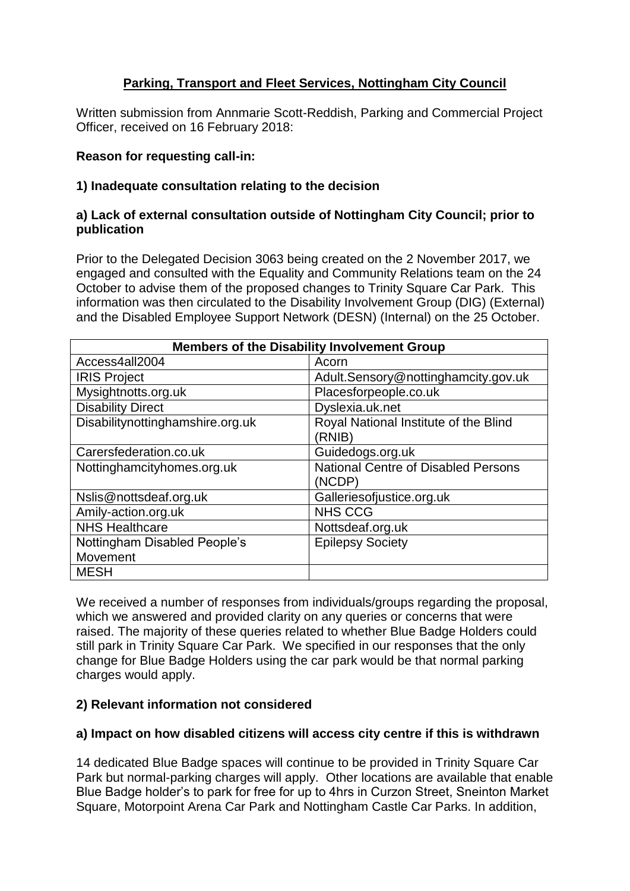# **Parking, Transport and Fleet Services, Nottingham City Council**

Written submission from Annmarie Scott-Reddish, Parking and Commercial Project Officer, received on 16 February 2018:

## **Reason for requesting call-in:**

## **1) Inadequate consultation relating to the decision**

## **a) Lack of external consultation outside of Nottingham City Council; prior to publication**

Prior to the Delegated Decision 3063 being created on the 2 November 2017, we engaged and consulted with the Equality and Community Relations team on the 24 October to advise them of the proposed changes to Trinity Square Car Park. This information was then circulated to the Disability Involvement Group (DIG) (External) and the Disabled Employee Support Network (DESN) (Internal) on the 25 October.

| <b>Members of the Disability Involvement Group</b> |                                       |  |
|----------------------------------------------------|---------------------------------------|--|
| Access4all2004                                     | Acorn                                 |  |
| <b>IRIS Project</b>                                | Adult.Sensory@nottinghamcity.gov.uk   |  |
| Mysightnotts.org.uk                                | Placesforpeople.co.uk                 |  |
| <b>Disability Direct</b>                           | Dyslexia.uk.net                       |  |
| Disabilitynottinghamshire.org.uk                   | Royal National Institute of the Blind |  |
|                                                    | (RNIB)                                |  |
| Carersfederation.co.uk                             | Guidedogs.org.uk                      |  |
| Nottinghamcityhomes.org.uk                         | National Centre of Disabled Persons   |  |
|                                                    | (NCDP)                                |  |
| Nslis@nottsdeaf.org.uk                             | Galleriesofjustice.org.uk             |  |
| Amily-action.org.uk                                | <b>NHS CCG</b>                        |  |
| <b>NHS Healthcare</b>                              | Nottsdeaf.org.uk                      |  |
| Nottingham Disabled People's                       | <b>Epilepsy Society</b>               |  |
| Movement                                           |                                       |  |
| <b>MESH</b>                                        |                                       |  |

We received a number of responses from individuals/groups regarding the proposal. which we answered and provided clarity on any queries or concerns that were raised. The majority of these queries related to whether Blue Badge Holders could still park in Trinity Square Car Park. We specified in our responses that the only change for Blue Badge Holders using the car park would be that normal parking charges would apply.

## **2) Relevant information not considered**

## **a) Impact on how disabled citizens will access city centre if this is withdrawn**

14 dedicated Blue Badge spaces will continue to be provided in Trinity Square Car Park but normal-parking charges will apply. Other locations are available that enable Blue Badge holder's to park for free for up to 4hrs in Curzon Street, Sneinton Market Square, Motorpoint Arena Car Park and Nottingham Castle Car Parks. In addition,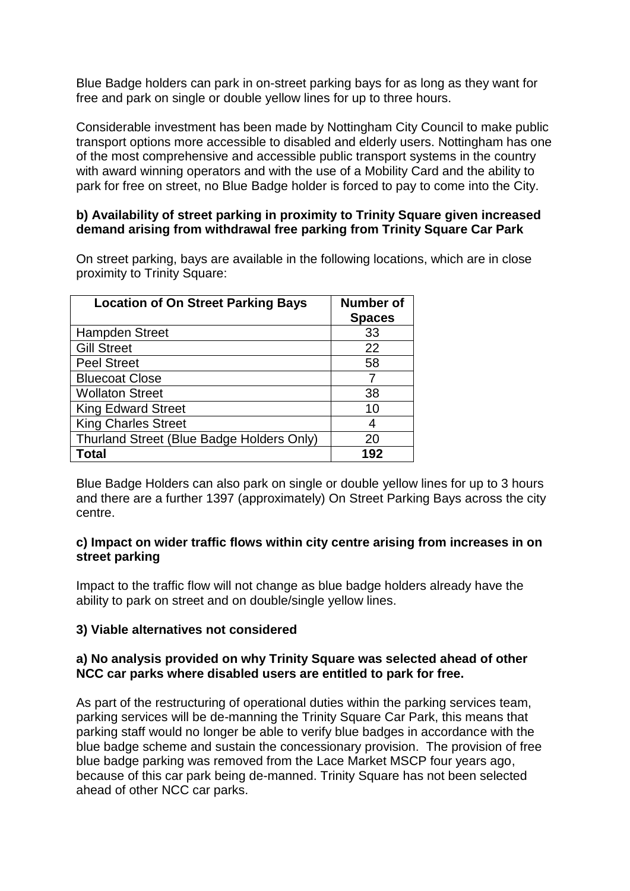Blue Badge holders can park in on-street parking bays for as long as they want for free and park on single or double yellow lines for up to three hours.

Considerable investment has been made by Nottingham City Council to make public transport options more accessible to disabled and elderly users. Nottingham has one of the most comprehensive and accessible public transport systems in the country with award winning operators and with the use of a Mobility Card and the ability to park for free on street, no Blue Badge holder is forced to pay to come into the City.

## **b) Availability of street parking in proximity to Trinity Square given increased demand arising from withdrawal free parking from Trinity Square Car Park**

On street parking, bays are available in the following locations, which are in close proximity to Trinity Square:

| <b>Location of On Street Parking Bays</b> | <b>Number of</b><br><b>Spaces</b> |
|-------------------------------------------|-----------------------------------|
| <b>Hampden Street</b>                     | 33                                |
| <b>Gill Street</b>                        | 22                                |
| <b>Peel Street</b>                        | 58                                |
| <b>Bluecoat Close</b>                     |                                   |
| <b>Wollaton Street</b>                    | 38                                |
| <b>King Edward Street</b>                 | 10                                |
| <b>King Charles Street</b>                | 4                                 |
| Thurland Street (Blue Badge Holders Only) | 20                                |
| Total                                     | 192                               |

Blue Badge Holders can also park on single or double yellow lines for up to 3 hours and there are a further 1397 (approximately) On Street Parking Bays across the city centre.

#### **c) Impact on wider traffic flows within city centre arising from increases in on street parking**

Impact to the traffic flow will not change as blue badge holders already have the ability to park on street and on double/single yellow lines.

## **3) Viable alternatives not considered**

## **a) No analysis provided on why Trinity Square was selected ahead of other NCC car parks where disabled users are entitled to park for free.**

As part of the restructuring of operational duties within the parking services team, parking services will be de-manning the Trinity Square Car Park, this means that parking staff would no longer be able to verify blue badges in accordance with the blue badge scheme and sustain the concessionary provision. The provision of free blue badge parking was removed from the Lace Market MSCP four years ago, because of this car park being de-manned. Trinity Square has not been selected ahead of other NCC car parks.